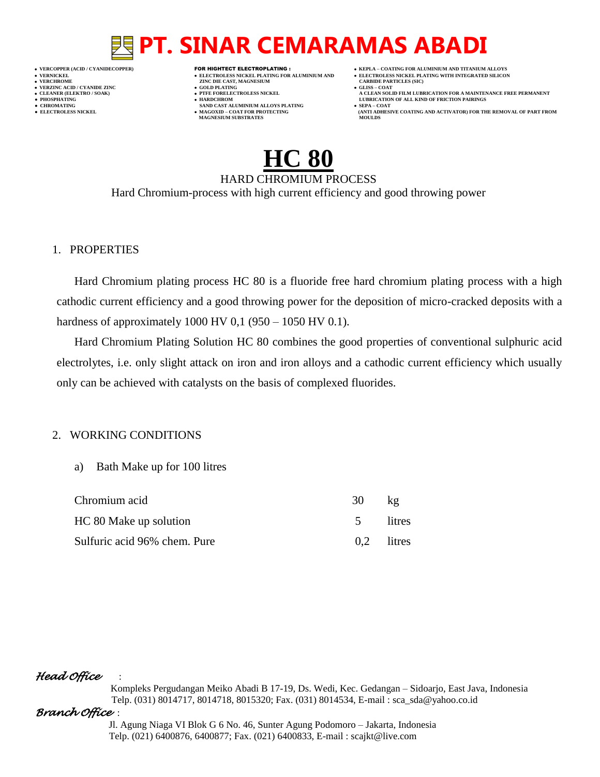- 
- 
- 

- **VERT AND AGNESIUM CARBIDE PARTICLES (SILISS = COLD PLATING)**
- **VERZINC ACID / CYANIDE ZINC GOLD PLATING GLISS – COAT**
	-
- **● CHROMATING SAND CAST ALUMINIUM ALLOYS PLATING SEPA – COAT • MAGOXID – COAT FOR PROTECTING<br>MAGNESIUM SUBSTRATES**
- **VERCOPPER (ACID / CYANIDECOPPER)** FOR HIGHTECT ELECTROPLATING :  **KEPLA – COATING FOR ALUMINIUM AND TITANIUM ALLOYS**
- **VERNICKEL ELECTROLESS NICKEL PLATING FOR ALUMINIUM AND ELECTROLESS NICKEL PLATING WITH INTEGRATED SILICON**
	-
- **CLEANER (ELEKTRO / SOAK) PTFE FORELECTROLESS NICKEL A CLEAN SOLID FILM LUBRICATION FOR A MAINTENANCE FREE PERMANENT ● PHOSPHATING HARDCHROM LUBRICATION OF ALL KIND OF FRICTION PAIRINGS** 
	- **ELECTROLESS AND ACTIVATOR) FOR THE REMOVAL OF PART FROM (ANTI ADHESIVE COATING AND ACTIVATOR) FOR THE REMOVAL OF PART FROM**

# **HC 80**

HARD CHROMIUM PROCESS Hard Chromium-process with high current efficiency and good throwing power

### 1. PROPERTIES

Hard Chromium plating process HC 80 is a fluoride free hard chromium plating process with a high cathodic current efficiency and a good throwing power for the deposition of micro-cracked deposits with a hardness of approximately 1000 HV 0,1 (950 – 1050 HV 0.1).

Hard Chromium Plating Solution HC 80 combines the good properties of conventional sulphuric acid electrolytes, i.e. only slight attack on iron and iron alloys and a cathodic current efficiency which usually only can be achieved with catalysts on the basis of complexed fluorides.

### 2. WORKING CONDITIONS

a) Bath Make up for 100 litres

| Chromium acid                | 30     | Kg            |
|------------------------------|--------|---------------|
| HC 80 Make up solution       | $\sim$ | <i>litres</i> |
| Sulfuric acid 96% chem. Pure |        | $0,2$ litres  |

## *Head Office* :

 Kompleks Pergudangan Meiko Abadi B 17-19, Ds. Wedi, Kec. Gedangan – Sidoarjo, East Java, Indonesia Telp. (031) 8014717, 8014718, 8015320; Fax. (031) 8014534, E-mail : sca\_sda@yahoo.co.id

## *Branch Office* :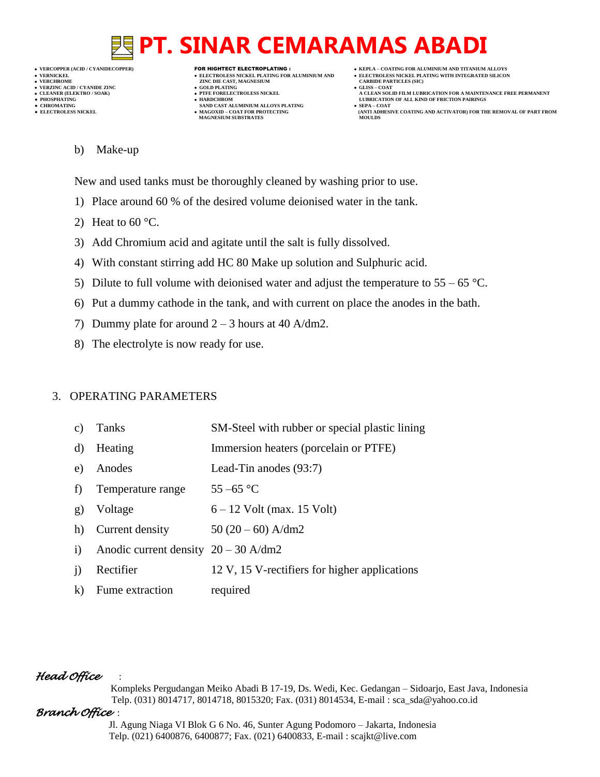**VERNICKEL ELECTROLESS NICKEL PLATING FOR ALUMINIUM AND ELECTROLESS NICKEL PLATING WITH INTEGRATED SILICON VERZINC ACID / CYANIDE ZINC GOLD PLATING GLISS – COAT**

- **VERT AND AGNESIUM CARBIDE PARTICLES (SILISS = COLD PLATING)**
- 
- 
- **● CHROMATING SAND CAST ALUMINIUM ALLOYS PLATING SEPA – COAT MAGNESIUM SUBSTRATES MOULDS**
- **VERCOPPER (ACID / CYANIDECOPPER)** FOR HIGHTECT ELECTROPLATING :  **KEPLA – COATING FOR ALUMINIUM AND TITANIUM ALLOYS**
	-
- **CLEANER (ELEKTRO / SOAK) PTFE FORELECTROLESS NICKEL A CLEAN SOLID FILM LUBRICATION FOR A MAINTENANCE FREE PERMANENT ● PHOSPHATING HARDCHROM LUBRICATION OF ALL KIND OF FRICTION PAIRINGS**
- **● ELECTROLESS NICKEL MAGOXID – COAT FOR PROTECTING (ANTI ADHESIVE COATING AND ACTIVATOR) FOR THE REMOVAL OF PART FROM** 
	- b) Make-up

New and used tanks must be thoroughly cleaned by washing prior to use.

- 1) Place around 60 % of the desired volume deionised water in the tank.
- 2) Heat to  $60^{\circ}$ C.
- 3) Add Chromium acid and agitate until the salt is fully dissolved.
- 4) With constant stirring add HC 80 Make up solution and Sulphuric acid.
- 5) Dilute to full volume with deionised water and adjust the temperature to  $55 65$  °C.
- 6) Put a dummy cathode in the tank, and with current on place the anodes in the bath.
- 7) Dummy plate for around  $2 3$  hours at 40 A/dm2.
- 8) The electrolyte is now ready for use.

## 3. OPERATING PARAMETERS

- c) Tanks SM-Steel with rubber or special plastic lining
- d) Heating Immersion heaters (porcelain or PTFE)
- e) Anodes Lead-Tin anodes (93:7)
- f) Temperature range  $55-65$  °C
- g) Voltage  $6 12$  Volt (max. 15 Volt)
- h) Current density  $50 (20 60)$  A/dm2
- i) Anodic current density  $20 30$  A/dm2
- j) Rectifier 12 V, 15 V-rectifiers for higher applications
- k) Fume extraction required

## *Head Office* :

 Kompleks Pergudangan Meiko Abadi B 17-19, Ds. Wedi, Kec. Gedangan – Sidoarjo, East Java, Indonesia Telp. (031) 8014717, 8014718, 8015320; Fax. (031) 8014534, E-mail : sca\_sda@yahoo.co.id

# *Branch Office* :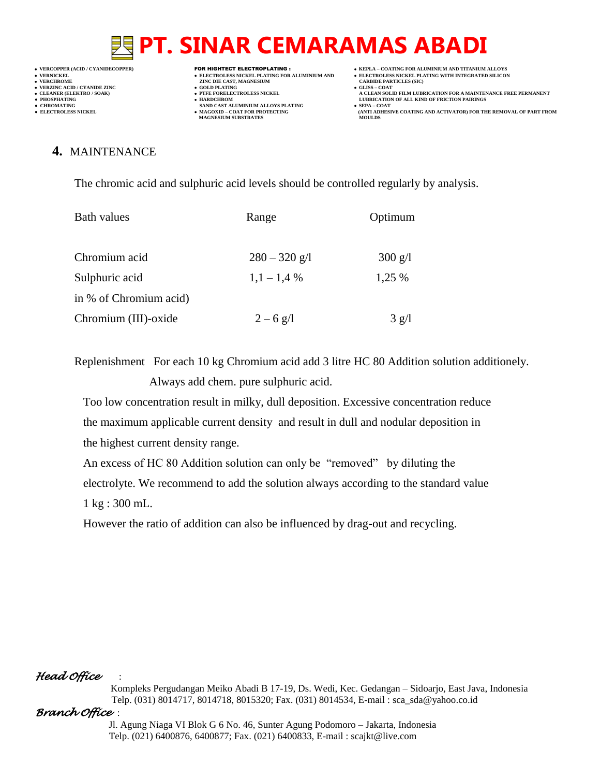**VERNICKEL ELECTROLESS NICKEL PLATING FOR ALUMINIUM AND ELECTROLESS NICKEL PLATING WITH INTEGRATED SILICON VERZINC ACID / CYANIDE ZINC GOLD PLATING GLISS – COAT**

**VERT ASSESSED ZINC DIE CAST, MAGNESIUM CARBIDE PARTING (SOLD PLATING CARBIDE PARTICLES)** 

- 
- 
- **● CHROMATING SAND CAST ALUMINIUM ALLOYS PLATING SEPA – COAT MAGNESIUM SUBSTRATES MOULDS**
- **VERCOPPER (ACID / CYANIDECOPPER)** FOR HIGHTECT ELECTROPLATING :  **KEPLA – COATING FOR ALUMINIUM AND TITANIUM ALLOYS**
	-
- **CLEANER (ELEKTRO / SOAK) PTFE FORELECTROLESS NICKEL A CLEAN SOLID FILM LUBRICATION FOR A MAINTENANCE FREE PERMANENT ● PHOSPHATING HARDCHROM LUBRICATION OF ALL KIND OF FRICTION PAIRINGS**
- **● ELECTROLESS NICKEL MAGOXID – COAT FOR PROTECTING (ANTI ADHESIVE COATING AND ACTIVATOR) FOR THE REMOVAL OF PART FROM**

# **4.** MAINTENANCE

The chromic acid and sulphuric acid levels should be controlled regularly by analysis.

| Bath values            | Range           | Optimum                |
|------------------------|-----------------|------------------------|
| Chromium acid          | $280 - 320$ g/l | $300 \text{ g/l}$      |
| Sulphuric acid         | $1,1 - 1,4\%$   | 1,25 %                 |
| in % of Chromium acid) |                 |                        |
| Chromium (III)-oxide   | $2 - 6$ g/l     | $3 \text{ g}/\text{l}$ |

Replenishment For each 10 kg Chromium acid add 3 litre HC 80 Addition solution additionely. Always add chem. pure sulphuric acid.

 Too low concentration result in milky, dull deposition. Excessive concentration reduce the maximum applicable current density and result in dull and nodular deposition in the highest current density range.

 An excess of HC 80 Addition solution can only be "removed" by diluting the electrolyte. We recommend to add the solution always according to the standard value 1 kg : 300 mL.

However the ratio of addition can also be influenced by drag-out and recycling.

# *Head Office* :

 Kompleks Pergudangan Meiko Abadi B 17-19, Ds. Wedi, Kec. Gedangan – Sidoarjo, East Java, Indonesia Telp. (031) 8014717, 8014718, 8015320; Fax. (031) 8014534, E-mail : sca\_sda@yahoo.co.id

## *Branch Office* :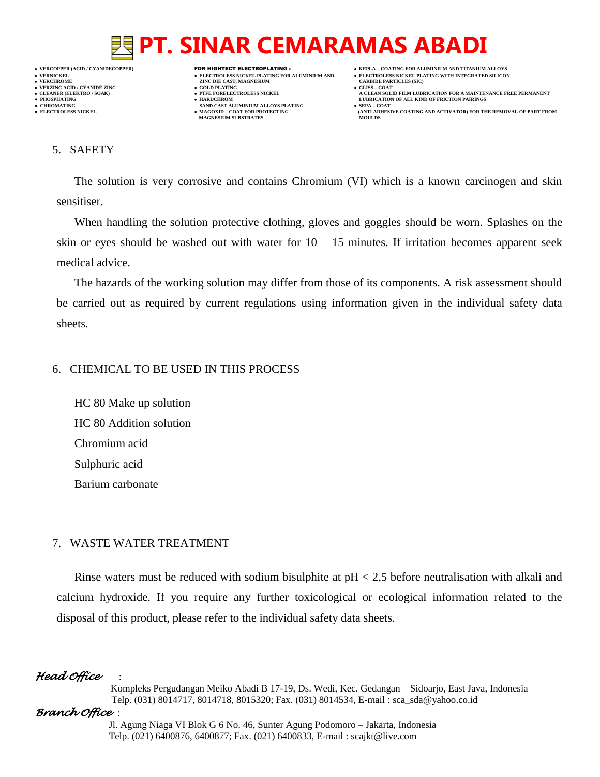

- 
- 

- **VERT AND AGNESIUM CARBIDE PARTICLES (SILISS = COLD PLATING)**
- 
- 
- **● CHROMATING SAND CAST ALUMINIUM ALLOYS PLATING SEPA – COAT MAGNESIUM SUBSTRATES**
- **VERCOPPER (ACID / CYANIDECOPPER)** FOR HIGHTECT ELECTROPLATING :  **KEPLA – COATING FOR ALUMINIUM AND TITANIUM ALLOYS**
	-
	-
- **A CLEAN SOLID FILM LUBRICATION FOR A MAINTENANCE FREE PERMANENT ● PHOSPHATING HARDCHROM LUBRICATION OF ALL KIND OF FRICTION PAIRINGS** 
	- **ELECTROLESS AND ACTIVATOR) FOR THE REMOVAL OF PART FROM (ANTI ADHESIVE COATING AND ACTIVATOR) FOR THE REMOVAL OF PART FROM**

## 5. SAFETY

The solution is very corrosive and contains Chromium (VI) which is a known carcinogen and skin sensitiser.

When handling the solution protective clothing, gloves and goggles should be worn. Splashes on the skin or eyes should be washed out with water for  $10 - 15$  minutes. If irritation becomes apparent seek medical advice.

The hazards of the working solution may differ from those of its components. A risk assessment should be carried out as required by current regulations using information given in the individual safety data sheets.

## 6. CHEMICAL TO BE USED IN THIS PROCESS

HC 80 Make up solution HC 80 Addition solution Chromium acid Sulphuric acid Barium carbonate

# 7. WASTE WATER TREATMENT

Rinse waters must be reduced with sodium bisulphite at pH < 2,5 before neutralisation with alkali and calcium hydroxide. If you require any further toxicological or ecological information related to the disposal of this product, please refer to the individual safety data sheets.

# *Head Office* :

 Kompleks Pergudangan Meiko Abadi B 17-19, Ds. Wedi, Kec. Gedangan – Sidoarjo, East Java, Indonesia Telp. (031) 8014717, 8014718, 8015320; Fax. (031) 8014534, E-mail : sca\_sda@yahoo.co.id

# *Branch Office* :